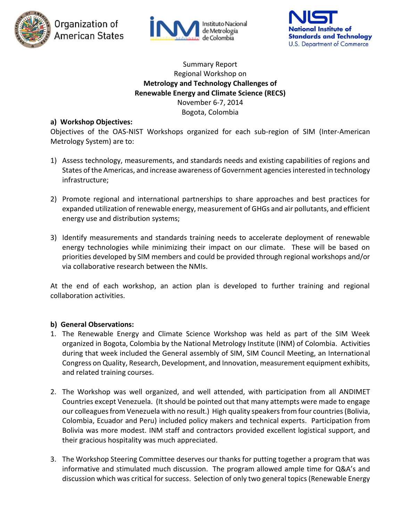





# Summary Report Regional Workshop on **Metrology and Technology Challenges of Renewable Energy and Climate Science (RECS)** November 6-7, 2014 Bogota, Colombia

# **a) Workshop Objectives:**

Objectives of the OAS-NIST Workshops organized for each sub-region of SIM (Inter-American Metrology System) are to:

- 1) Assess technology, measurements, and standards needs and existing capabilities of regions and States of the Americas, and increase awareness of Government agencies interested in technology infrastructure;
- 2) Promote regional and international partnerships to share approaches and best practices for expanded utilization of renewable energy, measurement of GHGs and air pollutants, and efficient energy use and distribution systems;
- 3) Identify measurements and standards training needs to accelerate deployment of renewable energy technologies while minimizing their impact on our climate. These will be based on priorities developed by SIM members and could be provided through regional workshops and/or via collaborative research between the NMIs.

At the end of each workshop, an action plan is developed to further training and regional collaboration activities.

# **b) General Observations:**

- 1. The Renewable Energy and Climate Science Workshop was held as part of the SIM Week organized in Bogota, Colombia by the National Metrology Institute (INM) of Colombia. Activities during that week included the General assembly of SIM, SIM Council Meeting, an International Congress on Quality, Research, Development, and Innovation, measurement equipment exhibits, and related training courses.
- 2. The Workshop was well organized, and well attended, with participation from all ANDIMET Countries except Venezuela. (It should be pointed out that many attempts were made to engage our colleagues from Venezuela with no result.) High quality speakers from four countries (Bolivia, Colombia, Ecuador and Peru) included policy makers and technical experts. Participation from Bolivia was more modest. INM staff and contractors provided excellent logistical support, and their gracious hospitality was much appreciated.
- 3. The Workshop Steering Committee deserves our thanks for putting together a program that was informative and stimulated much discussion. The program allowed ample time for Q&A's and discussion which was critical for success. Selection of only two general topics (Renewable Energy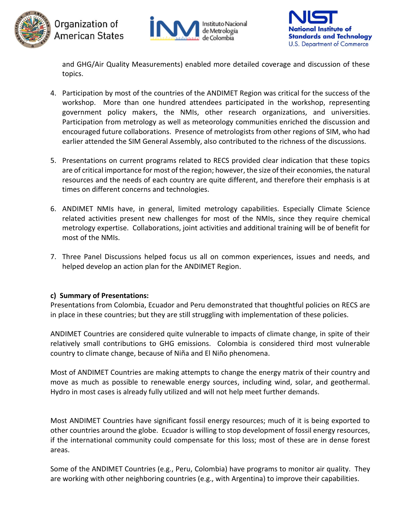





and GHG/Air Quality Measurements) enabled more detailed coverage and discussion of these topics.

- 4. Participation by most of the countries of the ANDIMET Region was critical for the success of the workshop. More than one hundred attendees participated in the workshop, representing government policy makers, the NMIs, other research organizations, and universities. Participation from metrology as well as meteorology communities enriched the discussion and encouraged future collaborations. Presence of metrologists from other regions of SIM, who had earlier attended the SIM General Assembly, also contributed to the richness of the discussions.
- 5. Presentations on current programs related to RECS provided clear indication that these topics are of critical importance for most of the region; however, the size of their economies, the natural resources and the needs of each country are quite different, and therefore their emphasis is at times on different concerns and technologies.
- 6. ANDIMET NMIs have, in general, limited metrology capabilities. Especially Climate Science related activities present new challenges for most of the NMIs, since they require chemical metrology expertise. Collaborations, joint activities and additional training will be of benefit for most of the NMIs.
- 7. Three Panel Discussions helped focus us all on common experiences, issues and needs, and helped develop an action plan for the ANDIMET Region.

# **c) Summary of Presentations:**

Presentations from Colombia, Ecuador and Peru demonstrated that thoughtful policies on RECS are in place in these countries; but they are still struggling with implementation of these policies.

ANDIMET Countries are considered quite vulnerable to impacts of climate change, in spite of their relatively small contributions to GHG emissions. Colombia is considered third most vulnerable country to climate change, because of Niña and El Niño phenomena.

Most of ANDIMET Countries are making attempts to change the energy matrix of their country and move as much as possible to renewable energy sources, including wind, solar, and geothermal. Hydro in most cases is already fully utilized and will not help meet further demands.

Most ANDIMET Countries have significant fossil energy resources; much of it is being exported to other countries around the globe. Ecuador is willing to stop development of fossil energy resources, if the international community could compensate for this loss; most of these are in dense forest areas.

Some of the ANDIMET Countries (e.g., Peru, Colombia) have programs to monitor air quality. They are working with other neighboring countries (e.g., with Argentina) to improve their capabilities.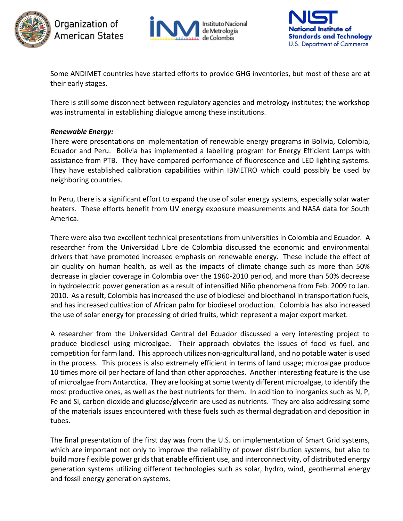





Some ANDIMET countries have started efforts to provide GHG inventories, but most of these are at their early stages.

There is still some disconnect between regulatory agencies and metrology institutes; the workshop was instrumental in establishing dialogue among these institutions.

#### *Renewable Energy:*

There were presentations on implementation of renewable energy programs in Bolivia, Colombia, Ecuador and Peru. Bolivia has implemented a labelling program for Energy Efficient Lamps with assistance from PTB. They have compared performance of fluorescence and LED lighting systems. They have established calibration capabilities within IBMETRO which could possibly be used by neighboring countries.

In Peru, there is a significant effort to expand the use of solar energy systems, especially solar water heaters. These efforts benefit from UV energy exposure measurements and NASA data for South America.

There were also two excellent technical presentations from universities in Colombia and Ecuador. A researcher from the Universidad Libre de Colombia discussed the economic and environmental drivers that have promoted increased emphasis on renewable energy. These include the effect of air quality on human health, as well as the impacts of climate change such as more than 50% decrease in glacier coverage in Colombia over the 1960-2010 period, and more than 50% decrease in hydroelectric power generation as a result of intensified Niño phenomena from Feb. 2009 to Jan. 2010. As a result, Colombia has increased the use of biodiesel and bioethanol in transportation fuels, and has increased cultivation of African palm for biodiesel production. Colombia has also increased the use of solar energy for processing of dried fruits, which represent a major export market.

A researcher from the Universidad Central del Ecuador discussed a very interesting project to produce biodiesel using microalgae. Their approach obviates the issues of food vs fuel, and competition for farm land. This approach utilizes non-agricultural land, and no potable water is used in the process. This process is also extremely efficient in terms of land usage; microalgae produce 10 times more oil per hectare of land than other approaches. Another interesting feature is the use of microalgae from Antarctica. They are looking at some twenty different microalgae, to identify the most productive ones, as well as the best nutrients for them. In addition to inorganics such as N, P, Fe and Si, carbon dioxide and glucose/glycerin are used as nutrients. They are also addressing some of the materials issues encountered with these fuels such as thermal degradation and deposition in tubes.

The final presentation of the first day was from the U.S. on implementation of Smart Grid systems, which are important not only to improve the reliability of power distribution systems, but also to build more flexible power grids that enable efficient use, and interconnectivity, of distributed energy generation systems utilizing different technologies such as solar, hydro, wind, geothermal energy and fossil energy generation systems.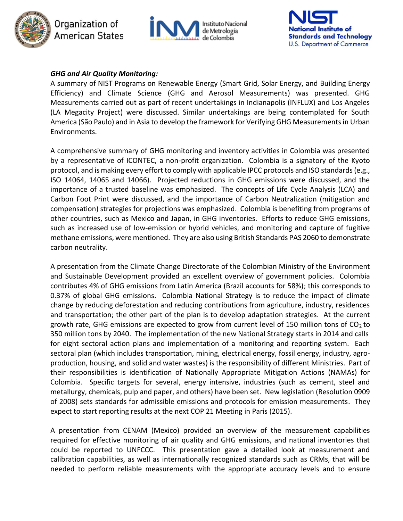





# *GHG and Air Quality Monitoring:*

A summary of NIST Programs on Renewable Energy (Smart Grid, Solar Energy, and Building Energy Efficiency) and Climate Science (GHG and Aerosol Measurements) was presented. GHG Measurements carried out as part of recent undertakings in Indianapolis (INFLUX) and Los Angeles (LA Megacity Project) were discussed. Similar undertakings are being contemplated for South America (São Paulo) and in Asia to develop the framework for Verifying GHG Measurements in Urban Environments.

A comprehensive summary of GHG monitoring and inventory activities in Colombia was presented by a representative of ICONTEC, a non-profit organization. Colombia is a signatory of the Kyoto protocol, and is making every effort to comply with applicable IPCC protocols and ISO standards (e.g., ISO 14064, 14065 and 14066). Projected reductions in GHG emissions were discussed, and the importance of a trusted baseline was emphasized. The concepts of Life Cycle Analysis (LCA) and Carbon Foot Print were discussed, and the importance of Carbon Neutralization (mitigation and compensation) strategies for projections was emphasized. Colombia is benefiting from programs of other countries, such as Mexico and Japan, in GHG inventories. Efforts to reduce GHG emissions, such as increased use of low-emission or hybrid vehicles, and monitoring and capture of fugitive methane emissions, were mentioned. They are also using British Standards PAS 2060 to demonstrate carbon neutrality.

A presentation from the Climate Change Directorate of the Colombian Ministry of the Environment and Sustainable Development provided an excellent overview of government policies. Colombia contributes 4% of GHG emissions from Latin America (Brazil accounts for 58%); this corresponds to 0.37% of global GHG emissions. Colombia National Strategy is to reduce the impact of climate change by reducing deforestation and reducing contributions from agriculture, industry, residences and transportation; the other part of the plan is to develop adaptation strategies. At the current growth rate, GHG emissions are expected to grow from current level of 150 million tons of  $CO<sub>2</sub>$  to 350 million tons by 2040. The implementation of the new National Strategy starts in 2014 and calls for eight sectoral action plans and implementation of a monitoring and reporting system. Each sectoral plan (which includes transportation, mining, electrical energy, fossil energy, industry, agroproduction, housing, and solid and water wastes) is the responsibility of different Ministries. Part of their responsibilities is identification of Nationally Appropriate Mitigation Actions (NAMAs) for Colombia. Specific targets for several, energy intensive, industries (such as cement, steel and metallurgy, chemicals, pulp and paper, and others) have been set. New legislation (Resolution 0909 of 2008) sets standards for admissible emissions and protocols for emission measurements. They expect to start reporting results at the next COP 21 Meeting in Paris (2015).

A presentation from CENAM (Mexico) provided an overview of the measurement capabilities required for effective monitoring of air quality and GHG emissions, and national inventories that could be reported to UNFCCC. This presentation gave a detailed look at measurement and calibration capabilities, as well as internationally recognized standards such as CRMs, that will be needed to perform reliable measurements with the appropriate accuracy levels and to ensure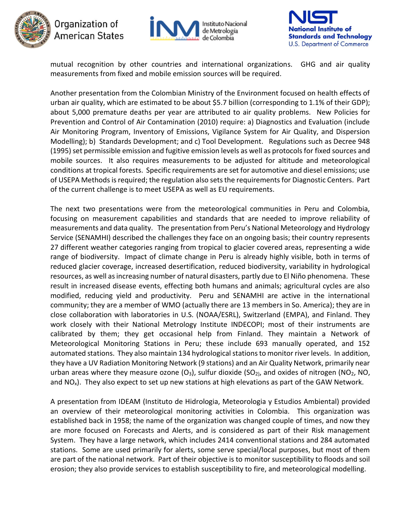

# Organization of American States





mutual recognition by other countries and international organizations. GHG and air quality measurements from fixed and mobile emission sources will be required.

Another presentation from the Colombian Ministry of the Environment focused on health effects of urban air quality, which are estimated to be about \$5.7 billion (corresponding to 1.1% of their GDP); about 5,000 premature deaths per year are attributed to air quality problems. New Policies for Prevention and Control of Air Contamination (2010) require: a) Diagnostics and Evaluation (include Air Monitoring Program, Inventory of Emissions, Vigilance System for Air Quality, and Dispersion Modelling); b) Standards Development; and c) Tool Development. Regulations such as Decree 948 (1995) set permissible emission and fugitive emission levels as well as protocols for fixed sources and mobile sources. It also requires measurements to be adjusted for altitude and meteorological conditions at tropical forests. Specific requirements are set for automotive and diesel emissions; use of USEPA Methods is required; the regulation also sets the requirements for Diagnostic Centers. Part of the current challenge is to meet USEPA as well as EU requirements.

The next two presentations were from the meteorological communities in Peru and Colombia, focusing on measurement capabilities and standards that are needed to improve reliability of measurements and data quality. The presentation from Peru's National Meteorology and Hydrology Service (SENAMHI) described the challenges they face on an ongoing basis; their country represents 27 different weather categories ranging from tropical to glacier covered areas, representing a wide range of biodiversity. Impact of climate change in Peru is already highly visible, both in terms of reduced glacier coverage, increased desertification, reduced biodiversity, variability in hydrological resources, as well as increasing number of natural disasters, partly due to El Niño phenomena. These result in increased disease events, effecting both humans and animals; agricultural cycles are also modified, reducing yield and productivity. Peru and SENAMHI are active in the international community; they are a member of WMO (actually there are 13 members in So. America); they are in close collaboration with laboratories in U.S. (NOAA/ESRL), Switzerland (EMPA), and Finland. They work closely with their National Metrology Institute INDECOPI; most of their instruments are calibrated by them; they get occasional help from Finland. They maintain a Network of Meteorological Monitoring Stations in Peru; these include 693 manually operated, and 152 automated stations. They also maintain 134 hydrological stations to monitor river levels. In addition, they have a UV Radiation Monitoring Network (9 stations) and an Air Quality Network, primarily near urban areas where they measure ozone  $(O_3)$ , sulfur dioxide  $(SO_2)$ , and oxides of nitrogen  $(NO_2, NO,$ and  $NO_x$ ). They also expect to set up new stations at high elevations as part of the GAW Network.

A presentation from IDEAM (Instituto de Hidrologia, Meteorologia y Estudios Ambiental) provided an overview of their meteorological monitoring activities in Colombia. This organization was established back in 1958; the name of the organization was changed couple of times, and now they are more focused on Forecasts and Alerts, and is considered as part of their Risk management System. They have a large network, which includes 2414 conventional stations and 284 automated stations. Some are used primarily for alerts, some serve special/local purposes, but most of them are part of the national network. Part of their objective is to monitor susceptibility to floods and soil erosion; they also provide services to establish susceptibility to fire, and meteorological modelling.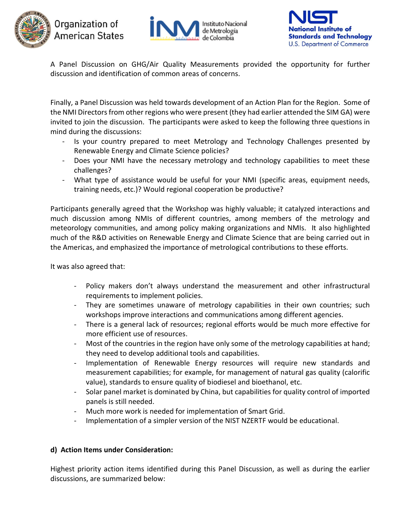





A Panel Discussion on GHG/Air Quality Measurements provided the opportunity for further discussion and identification of common areas of concerns.

Finally, a Panel Discussion was held towards development of an Action Plan for the Region. Some of the NMI Directors from other regions who were present (they had earlier attended the SIM GA) were invited to join the discussion. The participants were asked to keep the following three questions in mind during the discussions:

- Is your country prepared to meet Metrology and Technology Challenges presented by Renewable Energy and Climate Science policies?
- Does your NMI have the necessary metrology and technology capabilities to meet these challenges?
- What type of assistance would be useful for your NMI (specific areas, equipment needs, training needs, etc.)? Would regional cooperation be productive?

Participants generally agreed that the Workshop was highly valuable; it catalyzed interactions and much discussion among NMIs of different countries, among members of the metrology and meteorology communities, and among policy making organizations and NMIs. It also highlighted much of the R&D activities on Renewable Energy and Climate Science that are being carried out in the Americas, and emphasized the importance of metrological contributions to these efforts.

It was also agreed that:

- Policy makers don't always understand the measurement and other infrastructural requirements to implement policies.
- They are sometimes unaware of metrology capabilities in their own countries; such workshops improve interactions and communications among different agencies.
- There is a general lack of resources; regional efforts would be much more effective for more efficient use of resources.
- Most of the countries in the region have only some of the metrology capabilities at hand; they need to develop additional tools and capabilities.
- Implementation of Renewable Energy resources will require new standards and measurement capabilities; for example, for management of natural gas quality (calorific value), standards to ensure quality of biodiesel and bioethanol, etc.
- Solar panel market is dominated by China, but capabilities for quality control of imported panels is still needed.
- Much more work is needed for implementation of Smart Grid.
- Implementation of a simpler version of the NIST NZERTF would be educational.

# **d) Action Items under Consideration:**

Highest priority action items identified during this Panel Discussion, as well as during the earlier discussions, are summarized below: